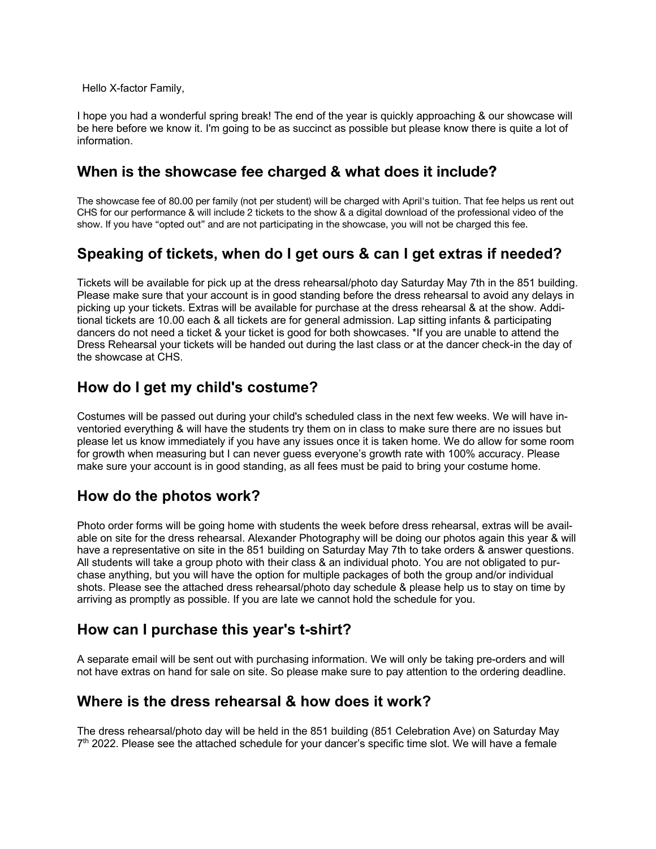Hello X-factor Family,

I hope you had a wonderful spring break! The end of the year is quickly approaching & our showcase will be here before we know it. I'm going to be as succinct as possible but please know there is quite a lot of information.

## **When is the showcase fee charged & what does it include?**

The showcase fee of 80.00 per family (not per student) will be charged with April's tuition. That fee helps us rent out CHS for our performance & will include 2 tickets to the show & a digital download of the professional video of the show. If you have "opted out" and are not participating in the showcase, you will not be charged this fee.

## **Speaking of tickets, when do I get ours & can I get extras if needed?**

Tickets will be available for pick up at the dress rehearsal/photo day Saturday May 7th in the 851 building. Please make sure that your account is in good standing before the dress rehearsal to avoid any delays in picking up your tickets. Extras will be available for purchase at the dress rehearsal & at the show. Additional tickets are 10.00 each & all tickets are for general admission. Lap sitting infants & participating dancers do not need a ticket & your ticket is good for both showcases. \*If you are unable to attend the Dress Rehearsal your tickets will be handed out during the last class or at the dancer check-in the day of the showcase at CHS.

## **How do I get my child's costume?**

Costumes will be passed out during your child's scheduled class in the next few weeks. We will have inventoried everything & will have the students try them on in class to make sure there are no issues but please let us know immediately if you have any issues once it is taken home. We do allow for some room for growth when measuring but I can never guess everyone's growth rate with 100% accuracy. Please make sure your account is in good standing, as all fees must be paid to bring your costume home.

#### **How do the photos work?**

Photo order forms will be going home with students the week before dress rehearsal, extras will be available on site for the dress rehearsal. Alexander Photography will be doing our photos again this year & will have a representative on site in the 851 building on Saturday May 7th to take orders & answer questions. All students will take a group photo with their class & an individual photo. You are not obligated to purchase anything, but you will have the option for multiple packages of both the group and/or individual shots. Please see the attached dress rehearsal/photo day schedule & please help us to stay on time by arriving as promptly as possible. If you are late we cannot hold the schedule for you.

# **How can I purchase this year's t-shirt?**

A separate email will be sent out with purchasing information. We will only be taking pre-orders and will not have extras on hand for sale on site. So please make sure to pay attention to the ordering deadline.

#### **Where is the dress rehearsal & how does it work?**

The dress rehearsal/photo day will be held in the 851 building (851 Celebration Ave) on Saturday May  $7<sup>th</sup>$  2022. Please see the attached schedule for your dancer's specific time slot. We will have a female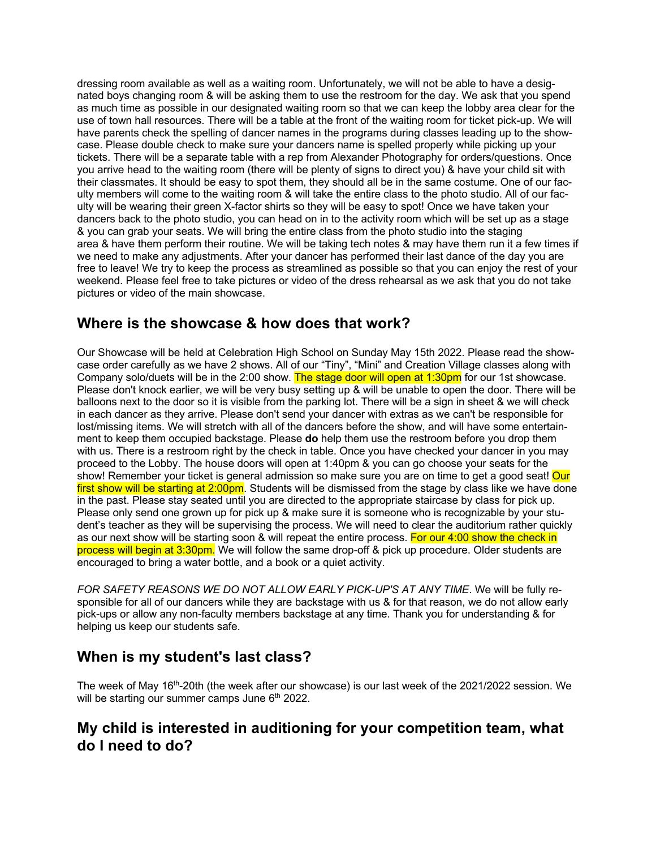dressing room available as well as a waiting room. Unfortunately, we will not be able to have a designated boys changing room & will be asking them to use the restroom for the day. We ask that you spend as much time as possible in our designated waiting room so that we can keep the lobby area clear for the use of town hall resources. There will be a table at the front of the waiting room for ticket pick-up. We will have parents check the spelling of dancer names in the programs during classes leading up to the showcase. Please double check to make sure your dancers name is spelled properly while picking up your tickets. There will be a separate table with a rep from Alexander Photography for orders/questions. Once you arrive head to the waiting room (there will be plenty of signs to direct you) & have your child sit with their classmates. It should be easy to spot them, they should all be in the same costume. One of our faculty members will come to the waiting room & will take the entire class to the photo studio. All of our faculty will be wearing their green X-factor shirts so they will be easy to spot! Once we have taken your dancers back to the photo studio, you can head on in to the activity room which will be set up as a stage & you can grab your seats. We will bring the entire class from the photo studio into the staging area & have them perform their routine. We will be taking tech notes & may have them run it a few times if we need to make any adjustments. After your dancer has performed their last dance of the day you are free to leave! We try to keep the process as streamlined as possible so that you can enjoy the rest of your weekend. Please feel free to take pictures or video of the dress rehearsal as we ask that you do not take pictures or video of the main showcase.

## **Where is the showcase & how does that work?**

Our Showcase will be held at Celebration High School on Sunday May 15th 2022. Please read the showcase order carefully as we have 2 shows. All of our "Tiny", "Mini" and Creation Village classes along with Company solo/duets will be in the 2:00 show. The stage door will open at 1:30pm for our 1st showcase. Please don't knock earlier, we will be very busy setting up & will be unable to open the door. There will be balloons next to the door so it is visible from the parking lot. There will be a sign in sheet & we will check in each dancer as they arrive. Please don't send your dancer with extras as we can't be responsible for lost/missing items. We will stretch with all of the dancers before the show, and will have some entertainment to keep them occupied backstage. Please **do** help them use the restroom before you drop them with us. There is a restroom right by the check in table. Once you have checked your dancer in you may proceed to the Lobby. The house doors will open at 1:40pm & you can go choose your seats for the show! Remember your ticket is general admission so make sure you are on time to get a good seat! Our first show will be starting at 2:00pm. Students will be dismissed from the stage by class like we have done in the past. Please stay seated until you are directed to the appropriate staircase by class for pick up. Please only send one grown up for pick up & make sure it is someone who is recognizable by your student's teacher as they will be supervising the process. We will need to clear the auditorium rather quickly as our next show will be starting soon & will repeat the entire process. For our 4:00 show the check in process will begin at 3:30pm. We will follow the same drop-off & pick up procedure. Older students are encouraged to bring a water bottle, and a book or a quiet activity.

FOR SAFETY REASONS WE DO NOT ALLOW EARLY PICK-UP'S AT ANY TIME. We will be fully responsible for all of our dancers while they are backstage with us & for that reason, we do not allow early pick-ups or allow any non-faculty members backstage at any time. Thank you for understanding & for helping us keep our students safe.

# **When is my student's last class?**

The week of May 16<sup>th</sup>-20th (the week after our showcase) is our last week of the 2021/2022 session. We will be starting our summer camps June  $6<sup>th</sup>$  2022.

## **My child is interested in auditioning for your competition team, what do I need to do?**